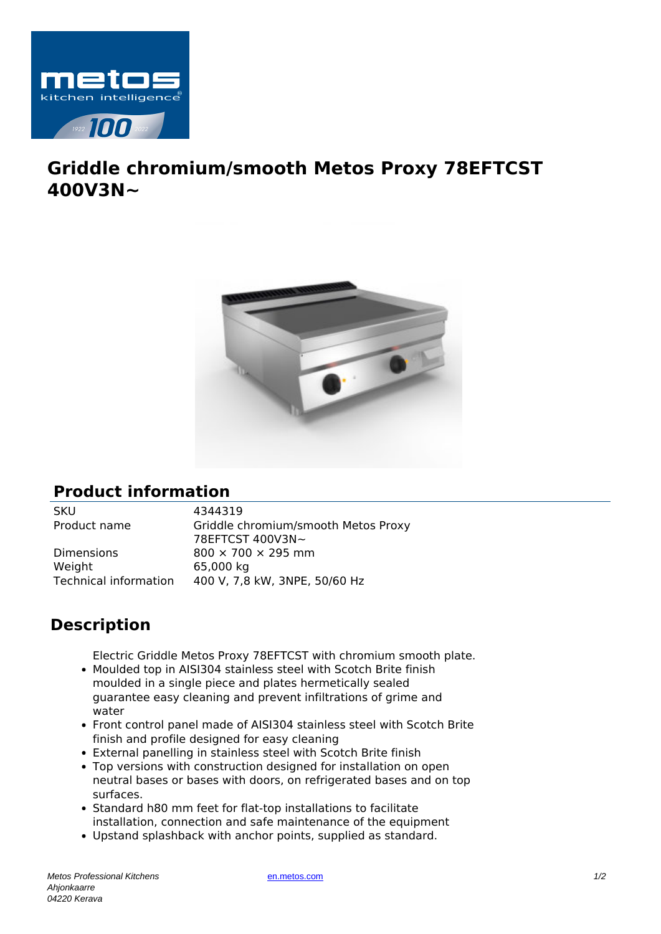

## **Griddle chromium/smooth Metos Proxy 78EFTCST 400V3N~**



## **Product information**

SKU 4344319<br>Product name Griddle c

Dimensions 800  $\times$  700  $\times$  295 mm Weight 65,000 kg

Griddle chromium/smooth Metos Proxy 78EFTCST 400V3N~ Technical information 400 V, 7,8 kW, 3NPE, 50/60 Hz

## **Description**

Electric Griddle Metos Proxy 78EFTCST with chromium smooth plate.

- Moulded top in AISI304 stainless steel with Scotch Brite finish moulded in a single piece and plates hermetically sealed guarantee easy cleaning and prevent infiltrations of grime and water
- Front control panel made of AISI304 stainless steel with Scotch Brite finish and profile designed for easy cleaning
- External panelling in stainless steel with Scotch Brite finish
- Top versions with construction designed for installation on open neutral bases or bases with doors, on refrigerated bases and on top surfaces.
- Standard h80 mm feet for flat-top installations to facilitate installation, connection and safe maintenance of the equipment
- Upstand splashback with anchor points, supplied as standard.